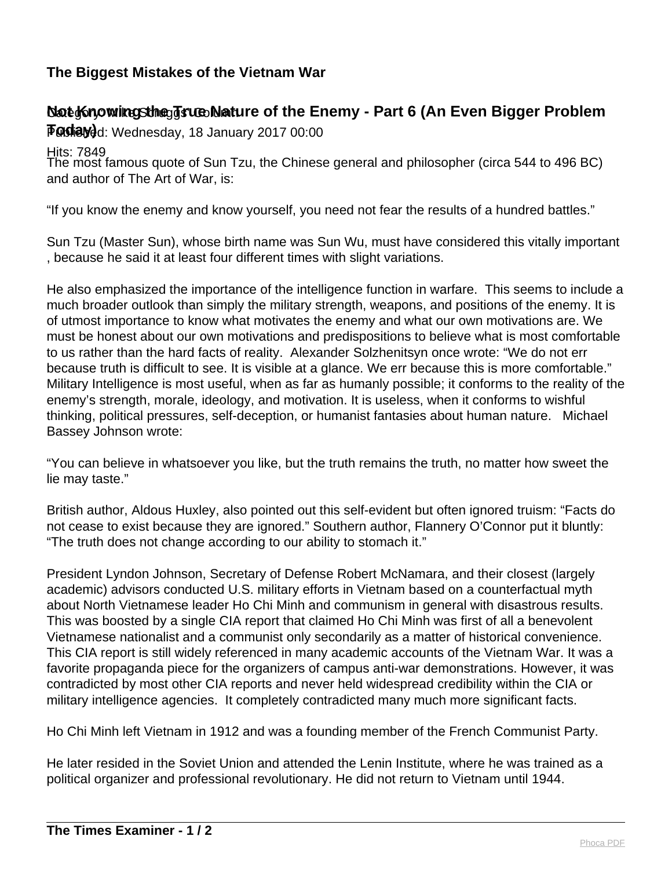## **The Biggest Mistakes of the Vietnam War**

## **Nat Knowing Sthe Ts Collature of the Enemy - Part 6 (An Even Bigger Problem**

**Foday)**d: Wednesday, 18 January 2017 00:00

<u>H</u>its: 7849

The most famous quote of Sun Tzu, the Chinese general and philosopher (circa 544 to 496 BC) and author of The Art of War, is:

"If you know the enemy and know yourself, you need not fear the results of a hundred battles."

Sun Tzu (Master Sun), whose birth name was Sun Wu, must have considered this vitally important , because he said it at least four different times with slight variations.

He also emphasized the importance of the intelligence function in warfare. This seems to include a much broader outlook than simply the military strength, weapons, and positions of the enemy. It is of utmost importance to know what motivates the enemy and what our own motivations are. We must be honest about our own motivations and predispositions to believe what is most comfortable to us rather than the hard facts of reality. Alexander Solzhenitsyn once wrote: "We do not err because truth is difficult to see. It is visible at a glance. We err because this is more comfortable." Military Intelligence is most useful, when as far as humanly possible; it conforms to the reality of the enemy's strength, morale, ideology, and motivation. It is useless, when it conforms to wishful thinking, political pressures, self-deception, or humanist fantasies about human nature. Michael Bassey Johnson wrote:

"You can believe in whatsoever you like, but the truth remains the truth, no matter how sweet the lie may taste."

British author, Aldous Huxley, also pointed out this self-evident but often ignored truism: "Facts do not cease to exist because they are ignored." Southern author, Flannery O'Connor put it bluntly: "The truth does not change according to our ability to stomach it."

President Lyndon Johnson, Secretary of Defense Robert McNamara, and their closest (largely academic) advisors conducted U.S. military efforts in Vietnam based on a counterfactual myth about North Vietnamese leader Ho Chi Minh and communism in general with disastrous results. This was boosted by a single CIA report that claimed Ho Chi Minh was first of all a benevolent Vietnamese nationalist and a communist only secondarily as a matter of historical convenience. This CIA report is still widely referenced in many academic accounts of the Vietnam War. It was a favorite propaganda piece for the organizers of campus anti-war demonstrations. However, it was contradicted by most other CIA reports and never held widespread credibility within the CIA or military intelligence agencies. It completely contradicted many much more significant facts.

Ho Chi Minh left Vietnam in 1912 and was a founding member of the French Communist Party.

He later resided in the Soviet Union and attended the Lenin Institute, where he was trained as a political organizer and professional revolutionary. He did not return to Vietnam until 1944.